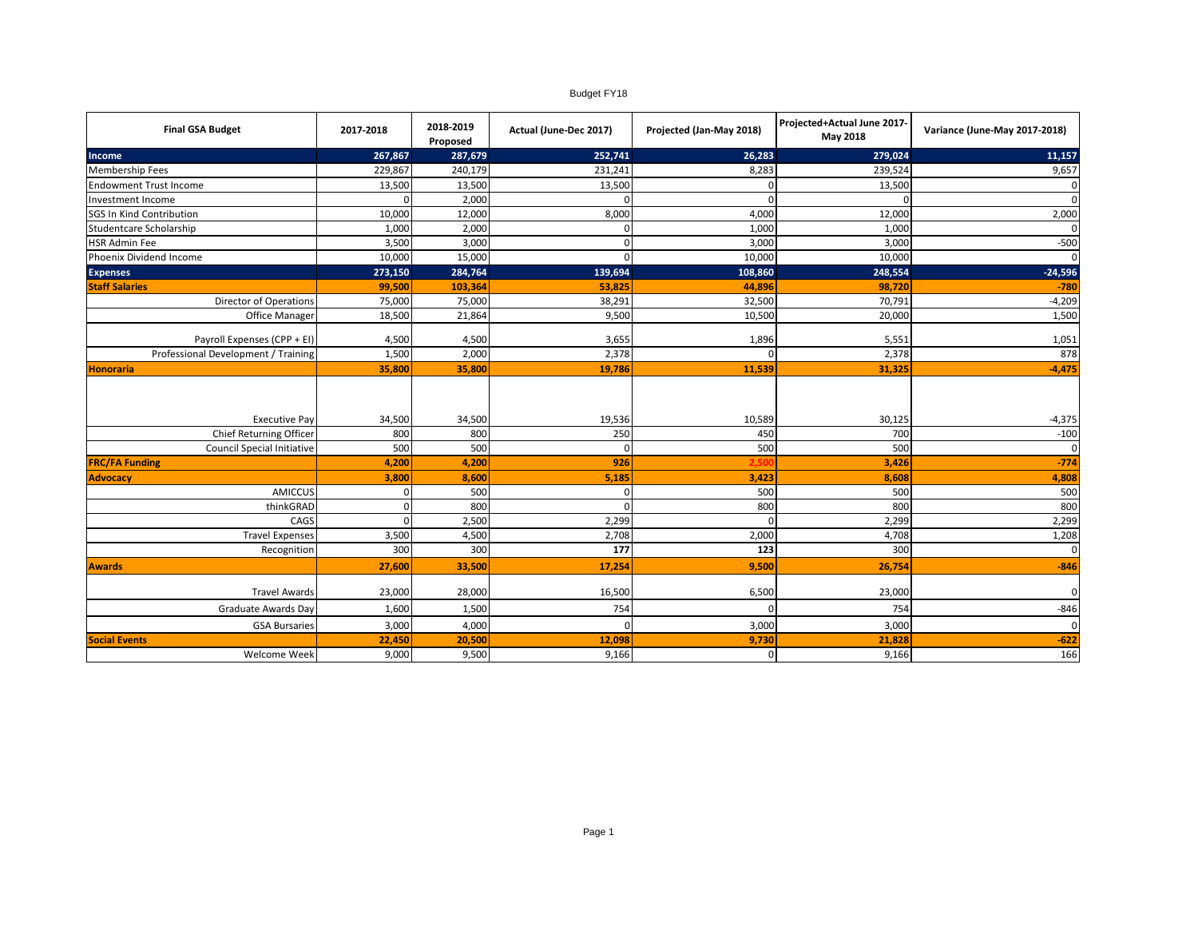## Budget FY18

| <b>Final GSA Budget</b>                                                       | 2017-2018            | 2018-2019<br>Proposed | Actual (June-Dec 2017)    | Projected (Jan-May 2018) | Projected+Actual June 2017-<br>May 2018 | Variance (June-May 2017-2018)      |
|-------------------------------------------------------------------------------|----------------------|-----------------------|---------------------------|--------------------------|-----------------------------------------|------------------------------------|
| Income                                                                        | 267,867              | 287,679               | 252,741                   | 26,283                   | 279,024                                 | 11,157                             |
| <b>Membership Fees</b>                                                        | 229,867              | 240,179               | 231,241                   | 8,283                    | 239,524                                 | 9,657                              |
| <b>Endowment Trust Income</b>                                                 | 13,500               | 13,500                | 13,500                    | O                        | 13,500                                  | $\mathbf 0$                        |
| Investment Income                                                             |                      | 2,000                 |                           | U                        | $\Omega$                                | $\mathbf 0$                        |
| SGS In Kind Contribution                                                      | 10,000               | 12,000                | 8,000                     | 4,000                    | 12,000                                  | 2,000                              |
| Studentcare Scholarship                                                       | 1,000                | 2,000                 | $\Omega$                  | 1,000                    | 1,000                                   | $\mathbf 0$                        |
| <b>HSR Admin Fee</b>                                                          | 3,500                | 3,000                 | $\Omega$                  | 3,000                    | 3,000                                   | $-500$                             |
| Phoenix Dividend Income                                                       | 10,000               | 15,000                | $\Omega$                  | 10,000                   | 10,000                                  | $\mathbf{0}$                       |
| <b>Expenses</b>                                                               | 273,150              | 284,764               | 139,694                   | 108,860                  | 248,554                                 | $-24,596$                          |
| <b>Staff Salaries</b>                                                         | 99,500               | 103,364               | 53,825                    | 44,896                   | 98,720                                  | $-780$                             |
| Director of Operations                                                        | 75,000               | 75,000                | 38,291                    | 32,500                   | 70,791                                  | $-4,209$                           |
| Office Manager                                                                | 18,500               | 21,864                | 9,500                     | 10,500                   | 20,000                                  | 1,500                              |
| Payroll Expenses (CPP + EI)                                                   | 4,500                | 4,500                 | 3,655                     | 1,896                    | 5,551                                   | 1,051                              |
| Professional Development / Training                                           | 1,500                | 2,000                 | 2,378                     | O                        | 2,378                                   | 878                                |
| <b>Honoraria</b>                                                              | 35,800               | 35,800                | 19,786                    | 11,539                   | 31,325                                  | $-4,475$                           |
| <b>Executive Pay</b><br>Chief Returning Officer<br>Council Special Initiative | 34,500<br>800<br>500 | 34,500<br>800<br>500  | 19,536<br>250<br>$\Omega$ | 10,589<br>450<br>500     | 30,125<br>700<br>500                    | $-4,375$<br>$-100$<br>$\mathbf{0}$ |
| <b>FRC/FA Funding</b>                                                         | 4,200                | 4,200                 | 926                       | 2.50                     | 3,426                                   | $-774$                             |
| <b>Advocacy</b>                                                               | 3,800                | 8,600                 | 5,185                     | 3,423                    | 8,608                                   | 4,808                              |
| <b>AMICCUS</b>                                                                | $\Omega$             | 500                   | $\Omega$                  | 500                      | 500                                     | 500                                |
| thinkGRAD                                                                     | $\Omega$             | 800                   | $\Omega$                  | 800                      | 800                                     | 800                                |
| CAGS                                                                          | $\Omega$             | 2,500                 | 2,299                     | $\Omega$                 | 2,299                                   | 2,299                              |
| <b>Travel Expenses</b>                                                        | 3,500                | 4,500                 | 2,708                     | 2,000                    | 4,708                                   | 1,208                              |
| Recognition                                                                   | 300                  | 300                   | 177                       | 123                      | 300                                     | $\mathbf 0$                        |
| <b>Awards</b>                                                                 | 27,600               | 33,500                | 17,254                    | 9,500                    | 26,754                                  | $-846$                             |
| <b>Travel Awards</b>                                                          | 23,000               | 28,000                | 16,500                    | 6,500                    | 23,000                                  | $\mathbf{0}$                       |
| <b>Graduate Awards Day</b>                                                    | 1,600                | 1,500                 | 754                       | $\Omega$                 | 754                                     | $-846$                             |
| <b>GSA Bursaries</b>                                                          | 3,000                | 4,000                 | $\sqrt{ }$                | 3,000                    | 3,000                                   | $\mathbf 0$                        |
| <b>Social Events</b>                                                          | 22,450               | 20,500                | 12,098                    | 9,730                    | 21,828                                  | $-622$                             |
| Welcome Week                                                                  | 9,000                | 9,500                 | 9,166                     | $\mathbf 0$              | 9,166                                   | 166                                |